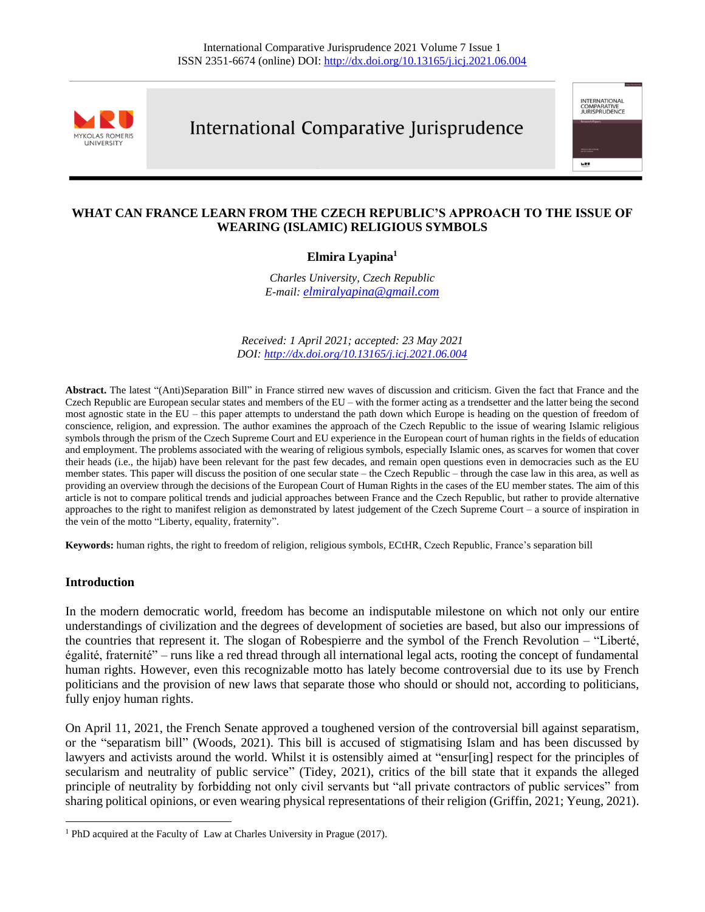

# International Comparative Jurisprudence

international<br>Comparative<br>Jurisprudence

wet

# **WHAT CAN FRANCE LEARN FROM THE CZECH REPUBLIC'S APPROACH TO THE ISSUE OF WEARING (ISLAMIC) RELIGIOUS SYMBOLS**

# **Elmira Lyapina<sup>1</sup>**

*Charles University, Czech Republic E-mail: [elmiralyapina@gmail.com](mailto:elmiralyapina@gmail.com)*

*Received: 1 April 2021; accepted: 23 May 2021 DOI[: http://dx.doi.org/10.13165/j.icj.2021.06.004](http://dx.doi.org/10.13165/j.icj.2021.06.004)*

**Abstract.** The latest "(Anti)Separation Bill" in France stirred new waves of discussion and criticism. Given the fact that France and the Czech Republic are European secular states and members of the EU – with the former acting as a trendsetter and the latter being the second most agnostic state in the EU – this paper attempts to understand the path down which Europe is heading on the question of freedom of conscience, religion, and expression. The author examines the approach of the Czech Republic to the issue of wearing Islamic religious symbols through the prism of the Czech Supreme Court and EU experience in the European court of human rights in the fields of education and employment. The problems associated with the wearing of religious symbols, especially Islamic ones, as scarves for women that cover their heads (i.e., the hijab) have been relevant for the past few decades, and remain open questions even in democracies such as the EU member states. This paper will discuss the position of one secular state – the Czech Republic – through the case law in this area, as well as providing an overview through the decisions of the European Court of Human Rights in the cases of the EU member states. The aim of this article is not to compare political trends and judicial approaches between France and the Czech Republic, but rather to provide alternative approaches to the right to manifest religion as demonstrated by latest judgement of the Czech Supreme Court – a source of inspiration in the vein of the motto "Liberty, equality, fraternity".

**Keywords:** human rights, the right to freedom of religion, religious symbols, ECtHR, Czech Republic, France's separation bill

#### **Introduction**

In the modern democratic world, freedom has become an indisputable milestone on which not only our entire understandings of civilization and the degrees of development of societies are based, but also our impressions of the countries that represent it. The slogan of Robespierre and the symbol of the French Revolution – "Liberté, égalité, fraternité" – runs like a red thread through all international legal acts, rooting the concept of fundamental human rights. However, even this recognizable motto has lately become controversial due to its use by French politicians and the provision of new laws that separate those who should or should not, according to politicians, fully enjoy human rights.

On April 11, 2021, the French Senate approved a toughened version of the controversial bill against separatism, or the "separatism bill" (Woods, 2021). This bill is accused of stigmatising Islam and has been discussed by lawyers and activists around the world. Whilst it is ostensibly aimed at "ensur[ing] respect for the principles of secularism and neutrality of public service" (Tidey, 2021), critics of the bill state that it expands the alleged principle of neutrality by forbidding not only civil servants but "all private contractors of public services" from sharing political opinions, or even wearing physical representations of their religion (Griffin, 2021; Yeung, 2021).

<sup>&</sup>lt;sup>1</sup> PhD acquired at the Faculty of Law at Charles University in Prague (2017).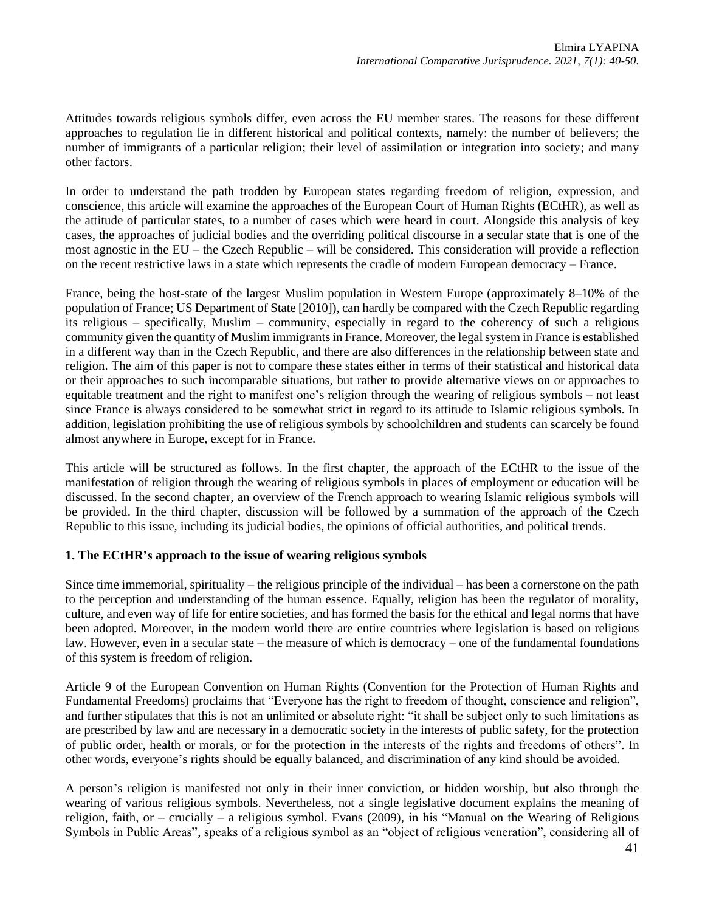Attitudes towards religious symbols differ, even across the EU member states. The reasons for these different approaches to regulation lie in different historical and political contexts, namely: the number of believers; the number of immigrants of a particular religion; their level of assimilation or integration into society; and many other factors.

In order to understand the path trodden by European states regarding freedom of religion, expression, and conscience, this article will examine the approaches of the European Court of Human Rights (ECtHR), as well as the attitude of particular states, to a number of cases which were heard in court. Alongside this analysis of key cases, the approaches of judicial bodies and the overriding political discourse in a secular state that is one of the most agnostic in the EU – the Czech Republic – will be considered. This consideration will provide a reflection on the recent restrictive laws in a state which represents the cradle of modern European democracy – France.

France, being the host-state of the largest Muslim population in Western Europe (approximately 8–10% of the population of France; US Department of State [2010]), can hardly be compared with the Czech Republic regarding its religious – specifically, Muslim – community, especially in regard to the coherency of such a religious community given the quantity of Muslim immigrants in France. Moreover, the legal system in France is established in a different way than in the Czech Republic, and there are also differences in the relationship between state and religion. The aim of this paper is not to compare these states either in terms of their statistical and historical data or their approaches to such incomparable situations, but rather to provide alternative views on or approaches to equitable treatment and the right to manifest one's religion through the wearing of religious symbols – not least since France is always considered to be somewhat strict in regard to its attitude to Islamic religious symbols. In addition, legislation prohibiting the use of religious symbols by schoolchildren and students can scarcely be found almost anywhere in Europe, except for in France.

This article will be structured as follows. In the first chapter, the approach of the ECtHR to the issue of the manifestation of religion through the wearing of religious symbols in places of employment or education will be discussed. In the second chapter, an overview of the French approach to wearing Islamic religious symbols will be provided. In the third chapter, discussion will be followed by a summation of the approach of the Czech Republic to this issue, including its judicial bodies, the opinions of official authorities, and political trends.

### **1. The ECtHR's approach to the issue of wearing religious symbols**

Since time immemorial, spirituality – the religious principle of the individual – has been a cornerstone on the path to the perception and understanding of the human essence. Equally, religion has been the regulator of morality, culture, and even way of life for entire societies, and has formed the basis for the ethical and legal norms that have been adopted. Moreover, in the modern world there are entire countries where legislation is based on religious law. However, even in a secular state – the measure of which is democracy – one of the fundamental foundations of this system is freedom of religion.

Article 9 of the European Convention on Human Rights (Convention for the Protection of Human Rights and Fundamental Freedoms) proclaims that "Everyone has the right to freedom of thought, conscience and religion", and further stipulates that this is not an unlimited or absolute right: "it shall be subject only to such limitations as are prescribed by law and are necessary in a democratic society in the interests of public safety, for the protection of public order, health or morals, or for the protection in the interests of the rights and freedoms of others". In other words, everyone's rights should be equally balanced, and discrimination of any kind should be avoided.

A person's religion is manifested not only in their inner conviction, or hidden worship, but also through the wearing of various religious symbols. Nevertheless, not a single legislative document explains the meaning of religion, faith, or – crucially – a religious symbol. Evans (2009), in his "Manual on the Wearing of Religious Symbols in Public Areas", speaks of a religious symbol as an "object of religious veneration", considering all of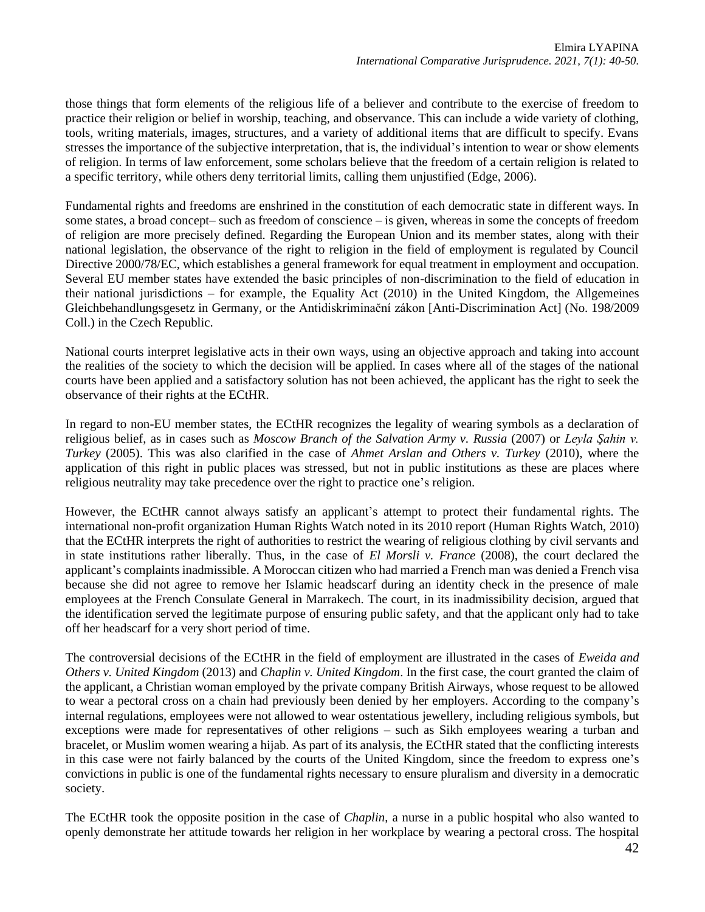those things that form elements of the religious life of a believer and contribute to the exercise of freedom to practice their religion or belief in worship, teaching, and observance. This can include a wide variety of clothing, tools, writing materials, images, structures, and a variety of additional items that are difficult to specify. Evans stresses the importance of the subjective interpretation, that is, the individual's intention to wear or show elements of religion. In terms of law enforcement, some scholars believe that the freedom of a certain religion is related to a specific territory, while others deny territorial limits, calling them unjustified (Edge, 2006).

Fundamental rights and freedoms are enshrined in the constitution of each democratic state in different ways. In some states, a broad concept– such as freedom of conscience – is given, whereas in some the concepts of freedom of religion are more precisely defined. Regarding the European Union and its member states, along with their national legislation, the observance of the right to religion in the field of employment is regulated by Council Directive 2000/78/EC, which establishes a general framework for equal treatment in employment and occupation. Several EU member states have extended the basic principles of non-discrimination to the field of education in their national jurisdictions – for example, the Equality Act (2010) in the United Kingdom, the Allgemeines Gleichbehandlungsgesetz in Germany, or the Antidiskriminační zákon [Anti-Discrimination Act] (No. 198/2009 Coll.) in the Czech Republic.

National courts interpret legislative acts in their own ways, using an objective approach and taking into account the realities of the society to which the decision will be applied. In cases where all of the stages of the national courts have been applied and a satisfactory solution has not been achieved, the applicant has the right to seek the observance of their rights at the ECtHR.

In regard to non-EU member states, the ECtHR recognizes the legality of wearing symbols as a declaration of religious belief, as in cases such as *Moscow Branch of the Salvation Army v. Russia* (2007) or *Leyla Şahin v. Turkey* (2005). This was also clarified in the case of *Ahmet Arslan and Others v. Turkey* (2010), where the application of this right in public places was stressed, but not in public institutions as these are places where religious neutrality may take precedence over the right to practice one's religion.

However, the ECtHR cannot always satisfy an applicant's attempt to protect their fundamental rights. The international non-profit organization Human Rights Watch noted in its 2010 report (Human Rights Watch, 2010) that the ECtHR interprets the right of authorities to restrict the wearing of religious clothing by civil servants and in state institutions rather liberally. Thus, in the case of *El Morsli v. France* (2008), the court declared the applicant's complaints inadmissible. A Moroccan citizen who had married a French man was denied a French visa because she did not agree to remove her Islamic headscarf during an identity check in the presence of male employees at the French Consulate General in Marrakech. The court, in its inadmissibility decision, argued that the identification served the legitimate purpose of ensuring public safety, and that the applicant only had to take off her headscarf for a very short period of time.

The controversial decisions of the ECtHR in the field of employment are illustrated in the cases of *Eweida and Others v. United Kingdom* (2013) and *Chaplin v. United Kingdom*. In the first case, the court granted the claim of the applicant, a Christian woman employed by the private company British Airways, whose request to be allowed to wear a pectoral cross on a chain had previously been denied by her employers. According to the company's internal regulations, employees were not allowed to wear ostentatious jewellery, including religious symbols, but exceptions were made for representatives of other religions – such as Sikh employees wearing a turban and bracelet, or Muslim women wearing a hijab. As part of its analysis, the ECtHR stated that the conflicting interests in this case were not fairly balanced by the courts of the United Kingdom, since the freedom to express one's convictions in public is one of the fundamental rights necessary to ensure pluralism and diversity in a democratic society.

The ECtHR took the opposite position in the case of *Chaplin*, a nurse in a public hospital who also wanted to openly demonstrate her attitude towards her religion in her workplace by wearing a pectoral cross. The hospital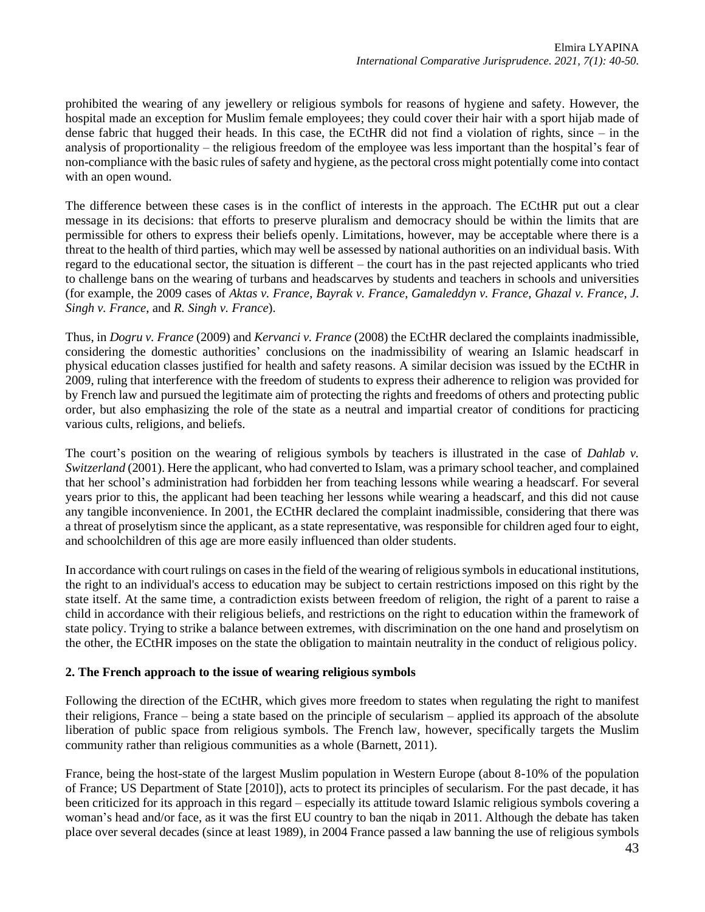prohibited the wearing of any jewellery or religious symbols for reasons of hygiene and safety. However, the hospital made an exception for Muslim female employees; they could cover their hair with a sport hijab made of dense fabric that hugged their heads. In this case, the ECtHR did not find a violation of rights, since – in the analysis of proportionality – the religious freedom of the employee was less important than the hospital's fear of non-compliance with the basic rules of safety and hygiene, as the pectoral cross might potentially come into contact with an open wound.

The difference between these cases is in the conflict of interests in the approach. The ECtHR put out a clear message in its decisions: that efforts to preserve pluralism and democracy should be within the limits that are permissible for others to express their beliefs openly. Limitations, however, may be acceptable where there is a threat to the health of third parties, which may well be assessed by national authorities on an individual basis. With regard to the educational sector, the situation is different – the court has in the past rejected applicants who tried to challenge bans on the wearing of turbans and headscarves by students and teachers in schools and universities (for example, the 2009 cases of *Aktas v. France*, *Bayrak v. France*, *Gamaleddyn v. France*, *Ghazal v. France*, *J. Singh v. France*, and *R. Singh v. France*).

Thus, in *Dogru v. France* (2009) and *Kervanci v. France* (2008) the ECtHR declared the complaints inadmissible, considering the domestic authorities' conclusions on the inadmissibility of wearing an Islamic headscarf in physical education classes justified for health and safety reasons. A similar decision was issued by the ECtHR in 2009, ruling that interference with the freedom of students to express their adherence to religion was provided for by French law and pursued the legitimate aim of protecting the rights and freedoms of others and protecting public order, but also emphasizing the role of the state as a neutral and impartial creator of conditions for practicing various cults, religions, and beliefs.

The court's position on the wearing of religious symbols by teachers is illustrated in the case of *Dahlab v. Switzerland* (2001). Here the applicant, who had converted to Islam, was a primary school teacher, and complained that her school's administration had forbidden her from teaching lessons while wearing a headscarf. For several years prior to this, the applicant had been teaching her lessons while wearing a headscarf, and this did not cause any tangible inconvenience. In 2001, the ECtHR declared the complaint inadmissible, considering that there was a threat of proselytism since the applicant, as a state representative, was responsible for children aged four to eight, and schoolchildren of this age are more easily influenced than older students.

In accordance with court rulings on cases in the field of the wearing of religious symbols in educational institutions, the right to an individual's access to education may be subject to certain restrictions imposed on this right by the state itself. At the same time, a contradiction exists between freedom of religion, the right of a parent to raise a child in accordance with their religious beliefs, and restrictions on the right to education within the framework of state policy. Trying to strike a balance between extremes, with discrimination on the one hand and proselytism on the other, the ECtHR imposes on the state the obligation to maintain neutrality in the conduct of religious policy.

### **2. The French approach to the issue of wearing religious symbols**

Following the direction of the ECtHR, which gives more freedom to states when regulating the right to manifest their religions, France – being a state based on the principle of secularism – applied its approach of the absolute liberation of public space from religious symbols. The French law, however, specifically targets the Muslim community rather than religious communities as a whole (Barnett, 2011).

France, being the host-state of the largest Muslim population in Western Europe (about 8-10% of the population of France; US Department of State [2010]), acts to protect its principles of secularism. For the past decade, it has been criticized for its approach in this regard – especially its attitude toward Islamic religious symbols covering a woman's head and/or face, as it was the first EU country to ban the niqab in 2011. Although the debate has taken place over several decades (since at least 1989), in 2004 France passed a law banning the use of religious symbols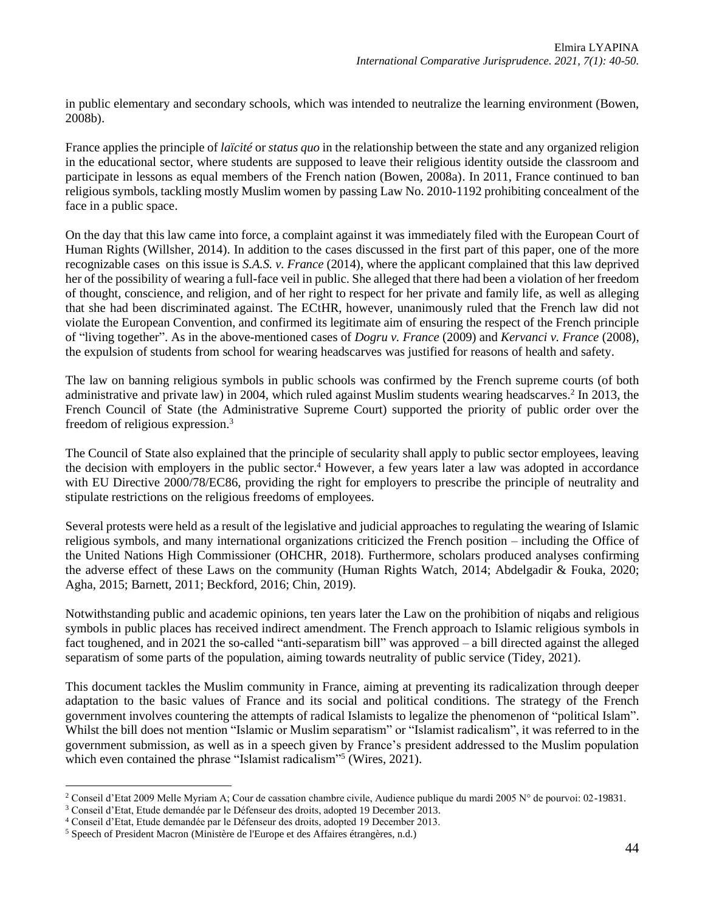in public elementary and secondary schools, which was intended to neutralize the learning environment (Bowen, 2008b).

France applies the principle of *laïcité* or *status quo* in the relationship between the state and any organized religion in the educational sector, where students are supposed to leave their religious identity outside the classroom and participate in lessons as equal members of the French nation (Bowen, 2008a). In 2011, France continued to ban religious symbols, tackling mostly Muslim women by passing Law No. 2010-1192 prohibiting concealment of the face in a public space.

On the day that this law came into force, a complaint against it was immediately filed with the European Court of Human Rights (Willsher, 2014). In addition to the cases discussed in the first part of this paper, one of the more recognizable cases on this issue is *S.A.S. v. France* (2014), where the applicant complained that this law deprived her of the possibility of wearing a full-face veil in public. She alleged that there had been a violation of her freedom of thought, conscience, and religion, and of her right to respect for her private and family life, as well as alleging that she had been discriminated against. The ECtHR, however, unanimously ruled that the French law did not violate the European Convention, and confirmed its legitimate aim of ensuring the respect of the French principle of "living together". As in the above-mentioned cases of *Dogru v. France* (2009) and *Kervanci v. France* (2008), the expulsion of students from school for wearing headscarves was justified for reasons of health and safety.

The law on banning religious symbols in public schools was confirmed by the French supreme courts (of both administrative and private law) in 2004, which ruled against Muslim students wearing headscarves.<sup>2</sup> In 2013, the French Council of State (the Administrative Supreme Court) supported the priority of public order over the freedom of religious expression.<sup>3</sup>

The Council of State also explained that the principle of secularity shall apply to public sector employees, leaving the decision with employers in the public sector.<sup>4</sup> However, a few years later a law was adopted in accordance with EU Directive 2000/78/EC86, providing the right for employers to prescribe the principle of neutrality and stipulate restrictions on the religious freedoms of employees.

Several protests were held as a result of the legislative and judicial approaches to regulating the wearing of Islamic religious symbols, and many international organizations criticized the French position – including the Office of the United Nations High Commissioner (OHCHR, 2018). Furthermore, scholars produced analyses confirming the adverse effect of these Laws on the community (Human Rights Watch, 2014; Abdelgadir & Fouka, 2020; Agha, 2015; Barnett, 2011; Beckford, 2016; Chin, 2019).

Notwithstanding public and academic opinions, ten years later the Law on the prohibition of niqabs and religious symbols in public places has received indirect amendment. The French approach to Islamic religious symbols in fact toughened, and in 2021 the so-called "anti-separatism bill" was approved – a bill directed against the alleged separatism of some parts of the population, aiming towards neutrality of public service (Tidey, 2021).

This document tackles the Muslim community in France, aiming at preventing its radicalization through deeper adaptation to the basic values of France and its social and political conditions. The strategy of the French government involves countering the attempts of radical Islamists to legalize the phenomenon of "political Islam". Whilst the bill does not mention "Islamic or Muslim separatism" or "Islamist radicalism", it was referred to in the government submission, as well as in a speech given by France's president addressed to the Muslim population which even contained the phrase "Islamist radicalism"<sup>5</sup> (Wires, 2021).

<sup>2</sup> Conseil d'Etat 2009 Melle Myriam A; Cour de cassation chambre civile, Audience publique du mardi 2005 N° de pourvoi: 02-19831.

<sup>3</sup> Conseil d'Etat, Etude demandée par le Défenseur des droits, adopted 19 December 2013.

<sup>4</sup> Conseil d'Etat, Etude demandée par le Défenseur des droits, adopted 19 December 2013.

<sup>5</sup> Speech of President Macron (Ministère de l'Europe et des Affaires étrangères, n.d.)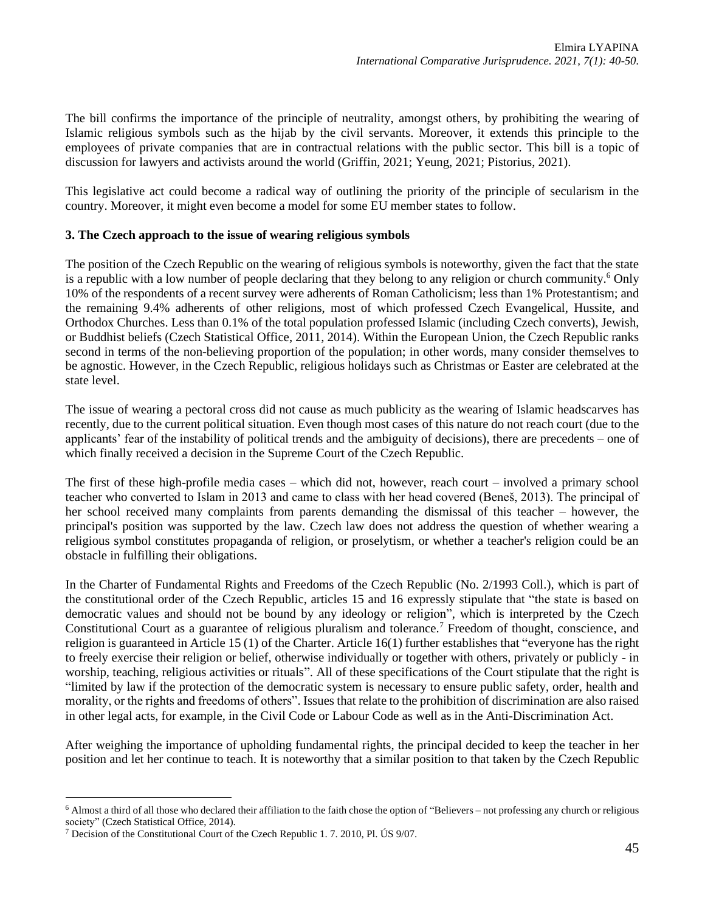The bill confirms the importance of the principle of neutrality, amongst others, by prohibiting the wearing of Islamic religious symbols such as the hijab by the civil servants. Moreover, it extends this principle to the employees of private companies that are in contractual relations with the public sector. This bill is a topic of discussion for lawyers and activists around the world (Griffin, 2021; Yeung, 2021; Pistorius, 2021).

This legislative act could become a radical way of outlining the priority of the principle of secularism in the country. Moreover, it might even become a model for some EU member states to follow.

### **3. The Czech approach to the issue of wearing religious symbols**

The position of the Czech Republic on the wearing of religious symbols is noteworthy, given the fact that the state is a republic with a low number of people declaring that they belong to any religion or church community.<sup>6</sup> Only 10% of the respondents of a recent survey were adherents of Roman Catholicism; less than 1% Protestantism; and the remaining 9.4% adherents of other religions, most of which professed Czech Evangelical, Hussite, and Orthodox Churches. Less than 0.1% of the total population professed Islamic (including Czech converts), Jewish, or Buddhist beliefs (Czech Statistical Office, 2011, 2014). Within the European Union, the Czech Republic ranks second in terms of the non-believing proportion of the population; in other words, many consider themselves to be agnostic. However, in the Czech Republic, religious holidays such as Christmas or Easter are celebrated at the state level.

The issue of wearing a pectoral cross did not cause as much publicity as the wearing of Islamic headscarves has recently, due to the current political situation. Even though most cases of this nature do not reach court (due to the applicants' fear of the instability of political trends and the ambiguity of decisions), there are precedents – one of which finally received a decision in the Supreme Court of the Czech Republic.

The first of these high-profile media cases – which did not, however, reach court – involved a primary school teacher who converted to Islam in 2013 and came to class with her head covered (Beneš, 2013). The principal of her school received many complaints from parents demanding the dismissal of this teacher – however, the principal's position was supported by the law. Czech law does not address the question of whether wearing a religious symbol constitutes propaganda of religion, or proselytism, or whether a teacher's religion could be an obstacle in fulfilling their obligations.

In the Charter of Fundamental Rights and Freedoms of the Czech Republic (No. 2/1993 Coll.), which is part of the constitutional order of the Czech Republic, articles 15 and 16 expressly stipulate that "the state is based on democratic values and should not be bound by any ideology or religion", which is interpreted by the Czech Constitutional Court as a guarantee of religious pluralism and tolerance.<sup>7</sup> Freedom of thought, conscience, and religion is guaranteed in Article 15 (1) of the Charter. Article 16(1) further establishes that "everyone has the right to freely exercise their religion or belief, otherwise individually or together with others, privately or publicly - in worship, teaching, religious activities or rituals". All of these specifications of the Court stipulate that the right is "limited by law if the protection of the democratic system is necessary to ensure public safety, order, health and morality, or the rights and freedoms of others". Issues that relate to the prohibition of discrimination are also raised in other legal acts, for example, in the Civil Code or Labour Code as well as in the Anti-Discrimination Act.

After weighing the importance of upholding fundamental rights, the principal decided to keep the teacher in her position and let her continue to teach. It is noteworthy that a similar position to that taken by the Czech Republic

<sup>6</sup> Almost a third of all those who declared their affiliation to the faith chose the option of "Believers – not professing any church or religious society" (Czech Statistical Office, 2014).

<sup>7</sup> Decision of the Constitutional Court of the Czech Republic 1. 7. 2010, Pl. ÚS 9/07.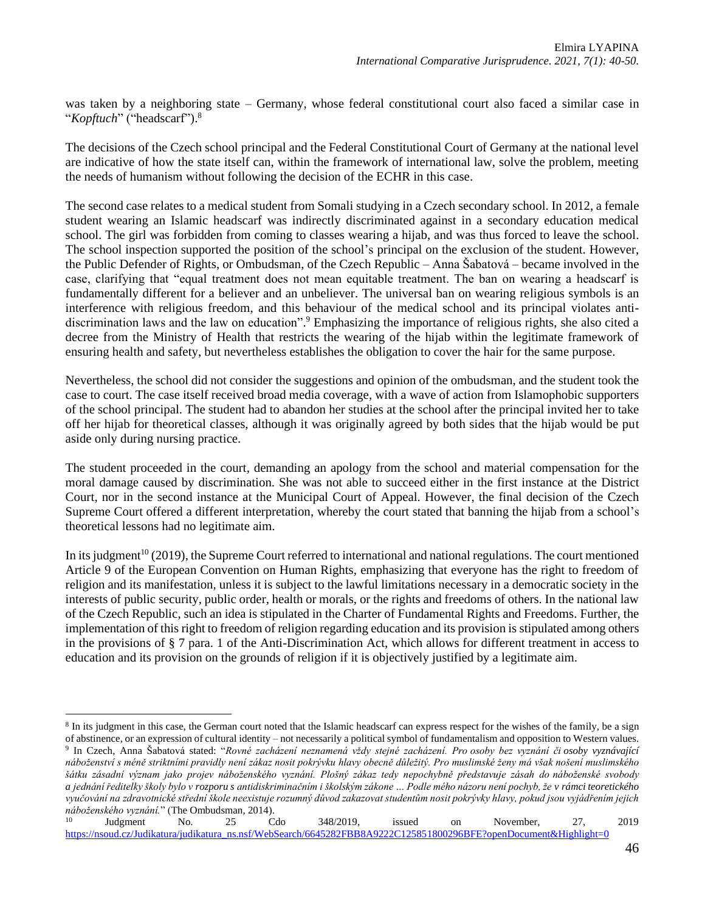was taken by a neighboring state – Germany, whose federal constitutional court also faced a similar case in "*Kopftuch*" ("headscarf").<sup>8</sup>

The decisions of the Czech school principal and the Federal Constitutional Court of Germany at the national level are indicative of how the state itself can, within the framework of international law, solve the problem, meeting the needs of humanism without following the decision of the ECHR in this case.

The second case relates to a medical student from Somali studying in a Czech secondary school. In 2012, a female student wearing an Islamic headscarf was indirectly discriminated against in a secondary education medical school. The girl was forbidden from coming to classes wearing a hijab, and was thus forced to leave the school. The school inspection supported the position of the school's principal on the exclusion of the student. However, the Public Defender of Rights, or Ombudsman, of the Czech Republic – Anna Šabatová – became involved in the case, clarifying that "equal treatment does not mean equitable treatment. The ban on wearing a headscarf is fundamentally different for a believer and an unbeliever. The universal ban on wearing religious symbols is an interference with religious freedom, and this behaviour of the medical school and its principal violates antidiscrimination laws and the law on education". <sup>9</sup> Emphasizing the importance of religious rights, she also cited a decree from the Ministry of Health that restricts the wearing of the hijab within the legitimate framework of ensuring health and safety, but nevertheless establishes the obligation to cover the hair for the same purpose.

Nevertheless, the school did not consider the suggestions and opinion of the ombudsman, and the student took the case to court. The case itself received broad media coverage, with a wave of action from Islamophobic supporters of the school principal. The student had to abandon her studies at the school after the principal invited her to take off her hijab for theoretical classes, although it was originally agreed by both sides that the hijab would be put aside only during nursing practice.

The student proceeded in the court, demanding an apology from the school and material compensation for the moral damage caused by discrimination. She was not able to succeed either in the first instance at the District Court, nor in the second instance at the Municipal Court of Appeal. However, the final decision of the Czech Supreme Court offered a different interpretation, whereby the court stated that banning the hijab from a school's theoretical lessons had no legitimate aim.

In its judgment<sup>10</sup> (2019), the Supreme Court referred to international and national regulations. The court mentioned Article 9 of the European Convention on Human Rights, emphasizing that everyone has the right to freedom of religion and its manifestation, unless it is subject to the lawful limitations necessary in a democratic society in the interests of public security, public order, health or morals, or the rights and freedoms of others. In the national law of the Czech Republic, such an idea is stipulated in the Charter of Fundamental Rights and Freedoms. Further, the implementation of this right to freedom of religion regarding education and its provision is stipulated among others in the provisions of § 7 para. 1 of the Anti-Discrimination Act, which allows for different treatment in access to education and its provision on the grounds of religion if it is objectively justified by a legitimate aim.

*náboženství s méně striktními pravidly není zákaz nosit pokrývku hlavy obecně důležitý. Pro muslimské ženy má však nošení muslimského šátku zásadní význam jako projev náboženského vyznání. Plošný zákaz tedy nepochybně představuje zásah do náboženské svobody a jednání ředitelky školy bylo v rozporu s antidiskriminačním i školským zákone … Podle mého názoru není pochyb, že v rámci teoretického vyučování na zdravotnické střední škole neexistuje rozumný důvod zakazovat studentům nosit pokrývky hlavy, pokud jsou vyjádřením jejich náboženského vyznání.*" (The Ombudsman, 2014).

```
10 Judgment No. 25 Cdo 348/2019, issued on November, 27, 2019 
https://nsoud.cz/Judikatura/judikatura_ns.nsf/WebSearch/6645282FBB8A9222C125851800296BFE?openDocument&Highlight=0
```
<sup>&</sup>lt;sup>8</sup> In its judgment in this case, the German court noted that the Islamic headscarf can express respect for the wishes of the family, be a sign of abstinence, or an expression of cultural identity – not necessarily a political symbol of fundamentalism and opposition to Western values. 9 In Czech, Anna Šabatová stated: "*Rovné zacházení neznamená vždy stejné zacházení. Pro osoby bez vyznání či osoby vyznávající*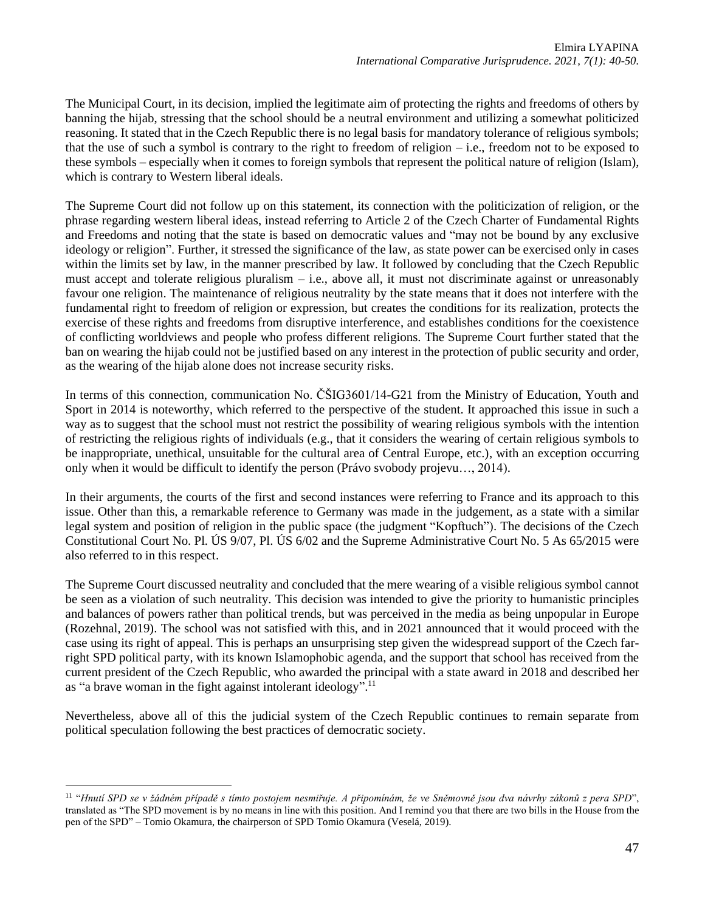The Municipal Court, in its decision, implied the legitimate aim of protecting the rights and freedoms of others by banning the hijab, stressing that the school should be a neutral environment and utilizing a somewhat politicized reasoning. It stated that in the Czech Republic there is no legal basis for mandatory tolerance of religious symbols; that the use of such a symbol is contrary to the right to freedom of religion – i.e., freedom not to be exposed to these symbols – especially when it comes to foreign symbols that represent the political nature of religion (Islam), which is contrary to Western liberal ideals.

The Supreme Court did not follow up on this statement, its connection with the politicization of religion, or the phrase regarding western liberal ideas, instead referring to Article 2 of the Czech Charter of Fundamental Rights and Freedoms and noting that the state is based on democratic values and "may not be bound by any exclusive ideology or religion". Further, it stressed the significance of the law, as state power can be exercised only in cases within the limits set by law, in the manner prescribed by law. It followed by concluding that the Czech Republic must accept and tolerate religious pluralism – i.e., above all, it must not discriminate against or unreasonably favour one religion. The maintenance of religious neutrality by the state means that it does not interfere with the fundamental right to freedom of religion or expression, but creates the conditions for its realization, protects the exercise of these rights and freedoms from disruptive interference, and establishes conditions for the coexistence of conflicting worldviews and people who profess different religions. The Supreme Court further stated that the ban on wearing the hijab could not be justified based on any interest in the protection of public security and order, as the wearing of the hijab alone does not increase security risks.

In terms of this connection, communication No. ČŠIG3601/14-G21 from the Ministry of Education, Youth and Sport in 2014 is noteworthy, which referred to the perspective of the student. It approached this issue in such a way as to suggest that the school must not restrict the possibility of wearing religious symbols with the intention of restricting the religious rights of individuals (e.g., that it considers the wearing of certain religious symbols to be inappropriate, unethical, unsuitable for the cultural area of Central Europe, etc.), with an exception occurring only when it would be difficult to identify the person (Právo svobody projevu…, 2014).

In their arguments, the courts of the first and second instances were referring to France and its approach to this issue. Other than this, a remarkable reference to Germany was made in the judgement, as a state with a similar legal system and position of religion in the public space (the judgment "Kopftuch"). The decisions of the Czech Constitutional Court No. Pl. ÚS 9/07, Pl. ÚS 6/02 and the Supreme Administrative Court No. 5 As 65/2015 were also referred to in this respect.

The Supreme Court discussed neutrality and concluded that the mere wearing of a visible religious symbol cannot be seen as a violation of such neutrality. This decision was intended to give the priority to humanistic principles and balances of powers rather than political trends, but was perceived in the media as being unpopular in Europe (Rozehnal, 2019). The school was not satisfied with this, and in 2021 announced that it would proceed with the case using its right of appeal. This is perhaps an unsurprising step given the widespread support of the Czech farright SPD political party, with its known Islamophobic agenda, and the support that school has received from the current president of the Czech Republic, who awarded the principal with a state award in 2018 and described her as "a brave woman in the fight against intolerant ideology".<sup>11</sup>

Nevertheless, above all of this the judicial system of the Czech Republic continues to remain separate from political speculation following the best practices of democratic society.

<sup>11</sup> "*Hnutí SPD se v žádném případě s tímto postojem nesmiřuje. A připomínám, že ve Sněmovně jsou dva návrhy zákonů z pera SPD*", translated as "The SPD movement is by no means in line with this position. And I remind you that there are two bills in the House from the pen of the SPD" – Tomio Okamura, the chairperson of SPD Tomio Okamura (Veselá, 2019).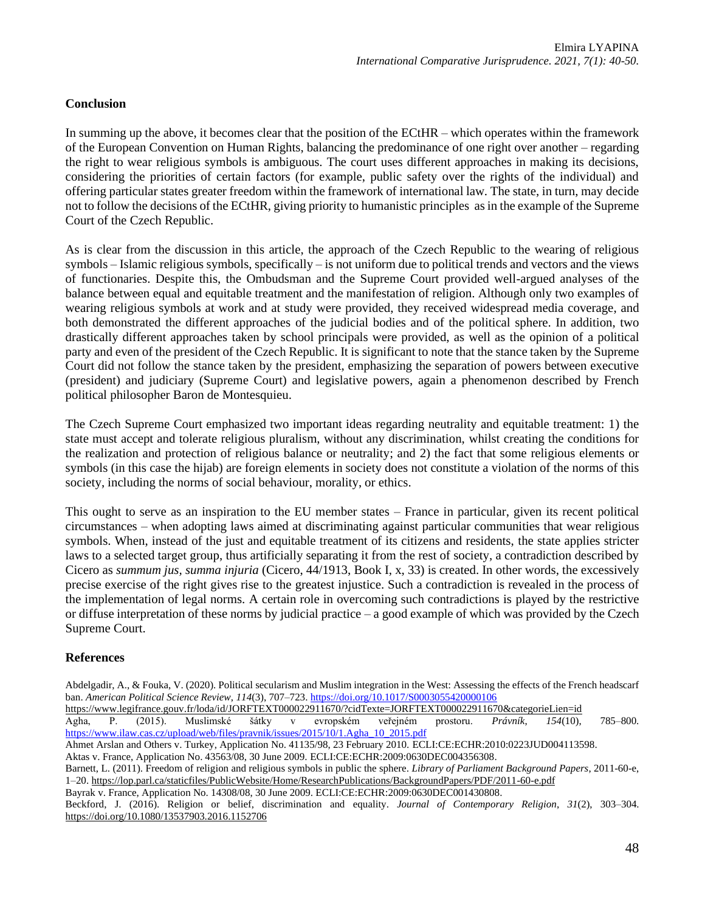# **Conclusion**

In summing up the above, it becomes clear that the position of the ECtHR – which operates within the framework of the European Convention on Human Rights, balancing the predominance of one right over another – regarding the right to wear religious symbols is ambiguous. The court uses different approaches in making its decisions, considering the priorities of certain factors (for example, public safety over the rights of the individual) and offering particular states greater freedom within the framework of international law. The state, in turn, may decide not to follow the decisions of the ECtHR, giving priority to humanistic principles as in the example of the Supreme Court of the Czech Republic.

As is clear from the discussion in this article, the approach of the Czech Republic to the wearing of religious symbols – Islamic religious symbols, specifically – is not uniform due to political trends and vectors and the views of functionaries. Despite this, the Ombudsman and the Supreme Court provided well-argued analyses of the balance between equal and equitable treatment and the manifestation of religion. Although only two examples of wearing religious symbols at work and at study were provided, they received widespread media coverage, and both demonstrated the different approaches of the judicial bodies and of the political sphere. In addition, two drastically different approaches taken by school principals were provided, as well as the opinion of a political party and even of the president of the Czech Republic. It is significant to note that the stance taken by the Supreme Court did not follow the stance taken by the president, emphasizing the separation of powers between executive (president) and judiciary (Supreme Court) and legislative powers, again a phenomenon described by French political philosopher Baron de Montesquieu.

The Czech Supreme Court emphasized two important ideas regarding neutrality and equitable treatment: 1) the state must accept and tolerate religious pluralism, without any discrimination, whilst creating the conditions for the realization and protection of religious balance or neutrality; and 2) the fact that some religious elements or symbols (in this case the hijab) are foreign elements in society does not constitute a violation of the norms of this society, including the norms of social behaviour, morality, or ethics.

This ought to serve as an inspiration to the EU member states – France in particular, given its recent political circumstances – when adopting laws aimed at discriminating against particular communities that wear religious symbols. When, instead of the just and equitable treatment of its citizens and residents, the state applies stricter laws to a selected target group, thus artificially separating it from the rest of society, a contradiction described by Cicero as *summum jus, summa injuria* (Cicero, 44/1913, Book I, x, 33) is created. In other words, the excessively precise exercise of the right gives rise to the greatest injustice. Such a contradiction is revealed in the process of the implementation of legal norms. A certain role in overcoming such contradictions is played by the restrictive or diffuse interpretation of these norms by judicial practice – a good example of which was provided by the Czech Supreme Court.

### **References**

Abdelgadir, A., & Fouka, V. (2020). Political secularism and Muslim integration in the West: Assessing the effects of the French headscarf ban. *American Political Science Review*, *114*(3), 707–723[. https://doi.org/10.1017/S0003055420000106](https://doi.org/10.1017/S0003055420000106) <https://www.legifrance.gouv.fr/loda/id/JORFTEXT000022911670/?cidTexte=JORFTEXT000022911670&categorieLien=id> Agha, P. (2015). Muslimské šátky v evropském veřejném prostoru. *Právník*, *154*(10), 785–800. [https://www.ilaw.cas.cz/upload/web/files/pravnik/issues/2015/10/1.Agha\\_10\\_2015.pdf](https://www.ilaw.cas.cz/upload/web/files/pravnik/issues/2015/10/1.Agha_10_2015.pdf)

Ahmet Arslan and Others v. Turkey, Application No. 41135/98, 23 February 2010. ECLI:CE:ECHR:2010:0223JUD004113598.

Aktas v. France, Application No. 43563/08, 30 June 2009. ECLI:CE:ECHR:2009:0630DEC004356308.

Barnett, L. (2011). Freedom of religion and religious symbols in public the sphere. *Library of Parliament Background Papers*, 2011-60-e, 1–20[. https://lop.parl.ca/staticfiles/PublicWebsite/Home/ResearchPublications/BackgroundPapers/PDF/2011-60-e.pdf](https://lop.parl.ca/staticfiles/PublicWebsite/Home/ResearchPublications/BackgroundPapers/PDF/2011-60-e.pdf)

Bayrak v. France, Application No. 14308/08, 30 June 2009. ECLI:CE:ECHR:2009:0630DEC001430808.

Beckford, J. (2016). Religion or belief, discrimination and equality. *Journal of Contemporary Religion*, *31*(2), 303–304. <https://doi.org/10.1080/13537903.2016.1152706>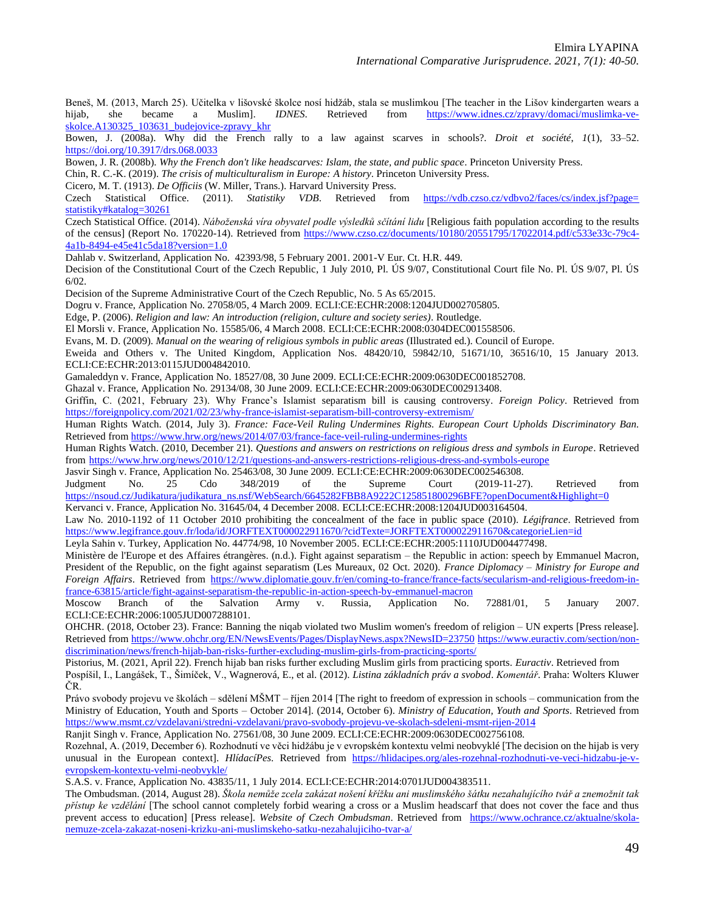Beneš, M. (2013, March 25). Učitelka v lišovské školce nosí hidžáb, stala se muslimkou [The teacher in the Lišov kindergarten wears a hijab, she became a Muslim]. *IDNES*. Retrieved from [https://www.idnes.cz/zpravy/domaci/muslimka-ve](https://www.idnes.cz/zpravy/domaci/muslimka-ve-skolce.A130325_103631_budejovice-zpravy_khr)[skolce.A130325\\_103631\\_budejovice-zpravy\\_khr](https://www.idnes.cz/zpravy/domaci/muslimka-ve-skolce.A130325_103631_budejovice-zpravy_khr)

Bowen, J. (2008a). Why did the French rally to a law against scarves in schools?. *Droit et société*, *1*(1), 33–52. <https://doi.org/10.3917/drs.068.0033>

Bowen, J. R. (2008b). *Why the French don't like headscarves: Islam, the state, and public space*. Princeton University Press.

Chin, R. C.-K. (2019). *The crisis of multiculturalism in Europe: A history*. Princeton University Press.

Cicero, M. T. (1913). *De Officiis* (W. Miller, Trans.). Harvard University Press.

Czech Statistical Office. (2011). *Statistiky VDB*. Retrieved from [https://vdb.czso.cz/vdbvo2/faces/cs/index.jsf?page=](https://vdb.czso.cz/vdbvo2/faces/cs/index.jsf?page=statistiky#katalog=30261) [statistiky#katalog=30261](https://vdb.czso.cz/vdbvo2/faces/cs/index.jsf?page=statistiky#katalog=30261)

Czech Statistical Office. (2014). *Náboženská víra obyvatel podle výsledků sčítání lidu* [Religious faith population according to the results of the census] (Report No. 170220-14). Retrieved from [https://www.czso.cz/documents/10180/20551795/17022014.pdf/c533e33c-79c4-](https://www.czso.cz/documents/10180/20551795/17022014.pdf/c533e33c-79c4-4a1b-8494-e45e41c5da18?version=1.0) [4a1b-8494-e45e41c5da18?version=1.0](https://www.czso.cz/documents/10180/20551795/17022014.pdf/c533e33c-79c4-4a1b-8494-e45e41c5da18?version=1.0)

Dahlab v. Switzerland, Application No. 42393/98, 5 February 2001. 2001-V Eur. Ct. H.R. 449.

Decision of the Constitutional Court of the Czech Republic, 1 July 2010, Pl. ÚS 9/07, Constitutional Court file No. Pl. ÚS 9/07, Pl. ÚS 6/02.

Decision of the Supreme Administrative Court of the Czech Republic, No. 5 As 65/2015.

Dogru v. France, Application No. 27058/05, 4 March 2009. ECLI:CE:ECHR:2008:1204JUD002705805.

Edge, P. (2006). *Religion and law: An introduction (religion, culture and society series)*. Routledge.

El Morsli v. France, Application No. 15585/06, 4 March 2008. ECLI:CE:ECHR:2008:0304DEC001558506.

Evans, M. D. (2009). *Manual on the wearing of religious symbols in public areas* (Illustrated ed.). Council of Europe.

Eweida and Others v. The United Kingdom, Application Nos. 48420/10, 59842/10, 51671/10, 36516/10, 15 January 2013. ECLI:CE:ECHR:2013:0115JUD004842010.

Gamaleddyn v. France, Application No. 18527/08, 30 June 2009. ECLI:CE:ECHR:2009:0630DEC001852708.

Ghazal v. France, Application No. 29134/08, 30 June 2009. ECLI:CE:ECHR:2009:0630DEC002913408.

Griffin, C. (2021, February 23). Why France's Islamist separatism bill is causing controversy. *Foreign Policy*. Retrieved from <https://foreignpolicy.com/2021/02/23/why-france-islamist-separatism-bill-controversy-extremism/>

Human Rights Watch. (2014, July 3). *France: Face-Veil Ruling Undermines Rights. European Court Upholds Discriminatory Ban.* Retrieved from<https://www.hrw.org/news/2014/07/03/france-face-veil-ruling-undermines-rights>

Human Rights Watch. (2010, December 21). *Questions and answers on restrictions on religious dress and symbols in Europe*. Retrieved from <https://www.hrw.org/news/2010/12/21/questions-and-answers-restrictions-religious-dress-and-symbols-europe>

Jasvir Singh v. France, Application No. 25463/08, 30 June 2009. ECLI:CE:ECHR:2009:0630DEC002546308.

Judgment No. 25 Cdo 348/2019 of the Supreme Court (2019-11-27). Retrieved from [https://nsoud.cz/Judikatura/judikatura\\_ns.nsf/WebSearch/6645282FBB8A9222C125851800296BFE?openDocument&Highlight=0](https://nsoud.cz/Judikatura/judikatura_ns.nsf/WebSearch/6645282FBB8A9222C125851800296BFE?openDocument&Highlight=0)

Kervanci v. France, Application No. 31645/04, 4 December 2008. ECLI:CE:ECHR:2008:1204JUD003164504.

Law No. 2010-1192 of 11 October 2010 prohibiting the concealment of the face in public space (2010). *Légifrance*. Retrieved from <https://www.legifrance.gouv.fr/loda/id/JORFTEXT000022911670/?cidTexte=JORFTEXT000022911670&categorieLien=id>

Leyla Sahin v. Turkey, Application No. 44774/98, 10 November 2005. ECLI:CE:ECHR:2005:1110JUD004477498.

Ministère de l'Europe et des Affaires étrangères. (n.d.). Fight against separatism – the Republic in action: speech by Emmanuel Macron, President of the Republic, on the fight against separatism (Les Mureaux, 02 Oct. 2020). *France Diplomacy – Ministry for Europe and Foreign Affairs*. Retrieved from [https://www.diplomatie.gouv.fr/en/coming-to-france/france-facts/secularism-and-religious-freedom-in](https://www.diplomatie.gouv.fr/en/coming-to-france/france-facts/secularism-and-religious-freedom-in-france-63815/article/fight-against-separatism-the-republic-in-action-speech-by-emmanuel-macron)[france-63815/article/fight-against-separatism-the-republic-in-action-speech-by-emmanuel-macron](https://www.diplomatie.gouv.fr/en/coming-to-france/france-facts/secularism-and-religious-freedom-in-france-63815/article/fight-against-separatism-the-republic-in-action-speech-by-emmanuel-macron)

Moscow Branch of the Salvation Army v. Russia, Application No. 72881/01, 5 January 2007. ECLI:CE:ECHR:2006:1005JUD007288101.

OHCHR. (2018, October 23). France: Banning the niqab violated two Muslim women's freedom of religion – UN experts [Press release]*.* Retrieved from<https://www.ohchr.org/EN/NewsEvents/Pages/DisplayNews.aspx?NewsID=23750> [https://www.euractiv.com/section/non](https://www.euractiv.com/section/non-discrimination/news/french-hijab-ban-risks-further-excluding-muslim-girls-from-practicing-sports/)[discrimination/news/french-hijab-ban-risks-further-excluding-muslim-girls-from-practicing-sports/](https://www.euractiv.com/section/non-discrimination/news/french-hijab-ban-risks-further-excluding-muslim-girls-from-practicing-sports/)

Pistorius, M. (2021, April 22). French hijab ban risks further excluding Muslim girls from practicing sports. *Euractiv*. Retrieved from Pospíšil, I., Langášek, T., Šimíček, V., Wagnerová, E., et al. (2012). *Listina základních práv a svobod*. *Komentář*. Praha: Wolters Kluwer ČR.

Právo svobody projevu ve školách – sdělení MŠMT – říjen 2014 [The right to freedom of expression in schools – communication from the Ministry of Education, Youth and Sports – October 2014]. (2014, October 6). *Ministry of Education, Youth and Sports*. Retrieved from <https://www.msmt.cz/vzdelavani/stredni-vzdelavani/pravo-svobody-projevu-ve-skolach-sdeleni-msmt-rijen-2014>

Ranjit Singh v. France, Application No. 27561/08, 30 June 2009. ECLI:CE:ECHR:2009:0630DEC002756108.

Rozehnal, A. (2019, December 6). Rozhodnutí ve věci hidžábu je v evropském kontextu velmi neobvyklé [The decision on the hijab is very unusual in the European context]. *HlídacíPes*. Retrieved from [https://hlidacipes.org/ales-rozehnal-rozhodnuti-ve-veci-hidzabu-je-v](https://hlidacipes.org/ales-rozehnal-rozhodnuti-ve-veci-hidzabu-je-v-evropskem-kontextu-velmi-neobvykle/)[evropskem-kontextu-velmi-neobvykle/](https://hlidacipes.org/ales-rozehnal-rozhodnuti-ve-veci-hidzabu-je-v-evropskem-kontextu-velmi-neobvykle/)

S.A.S. v. France, Application No. 43835/11, 1 July 2014. ECLI:CE:ECHR:2014:0701JUD004383511.

The Ombudsman. (2014, August 28). *Škola nemůže zcela zakázat nošení křížku ani muslimského šátku nezahalujícího tvář a znemožnit tak přístup ke vzdělání* [The school cannot completely forbid wearing a cross or a Muslim headscarf that does not cover the face and thus prevent access to education] [Press release]. *Website of Czech Ombudsman*. Retrieved from [https://www.ochrance.cz/aktualne/skola](https://www.ochrance.cz/aktualne/skola-nemuze-zcela-zakazat-noseni-krizku-ani-muslimskeho-satku-nezahalujiciho-tvar-a/)[nemuze-zcela-zakazat-noseni-krizku-ani-muslimskeho-satku-nezahalujiciho-tvar-a/](https://www.ochrance.cz/aktualne/skola-nemuze-zcela-zakazat-noseni-krizku-ani-muslimskeho-satku-nezahalujiciho-tvar-a/)